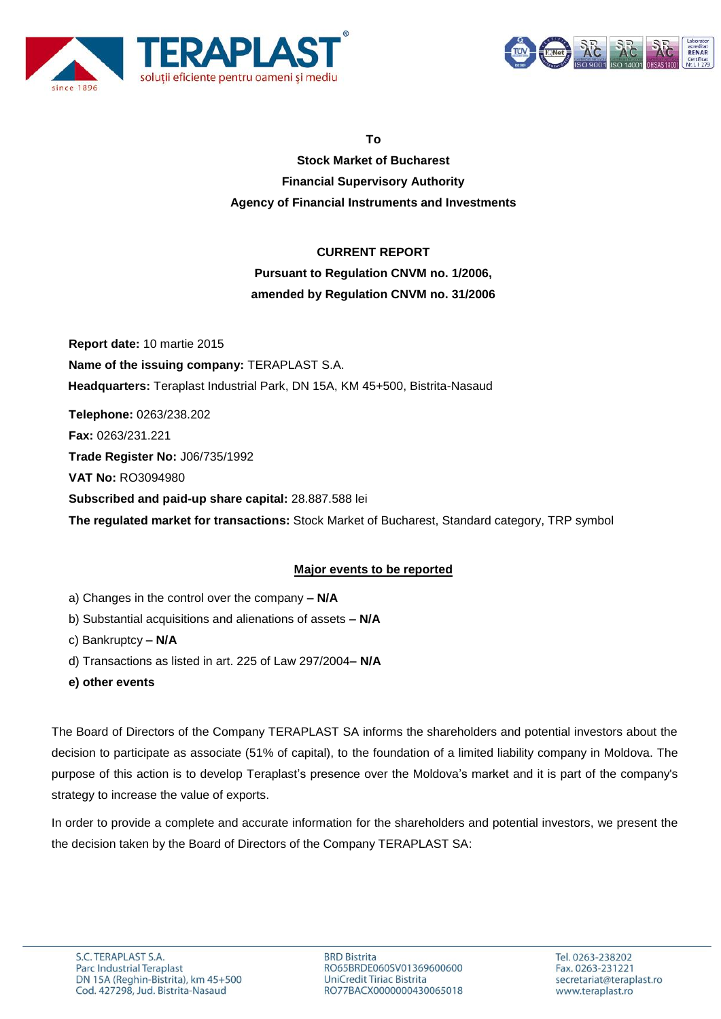



**To**

**Stock Market of Bucharest Financial Supervisory Authority Agency of Financial Instruments and Investments**

# **CURRENT REPORT**

# **Pursuant to Regulation CNVM no. 1/2006, amended by Regulation CNVM no. 31/2006**

**Report date:** 10 martie 2015 **Name of the issuing company:** TERAPLAST S.A.  **Headquarters:** Teraplast Industrial Park, DN 15A, KM 45+500, Bistrita-Nasaud **Telephone:** 0263/238.202 **Fax:** 0263/231.221 **Trade Register No:** J06/735/1992 **VAT No:** RO3094980 **Subscribed and paid-up share capital:** 28.887.588 lei **The regulated market for transactions:** Stock Market of Bucharest, Standard category, TRP symbol

## **Major events to be reported**

- a) Changes in the control over the company **– N/A**
- b) Substantial acquisitions and alienations of assets **– N/A**
- c) Bankruptcy **– N/A**
- d) Transactions as listed in art. 225 of Law 297/2004**– N/A**
- **e) other events**

The Board of Directors of the Company TERAPLAST SA informs the shareholders and potential investors about the decision to participate as associate (51% of capital), to the foundation of a limited liability company in Moldova. The purpose of this action is to develop Teraplast's presence over the Moldova's market and it is part of the company's strategy to increase the value of exports.

In order to provide a complete and accurate information for the shareholders and potential investors, we present the the decision taken by the Board of Directors of the Company TERAPLAST SA: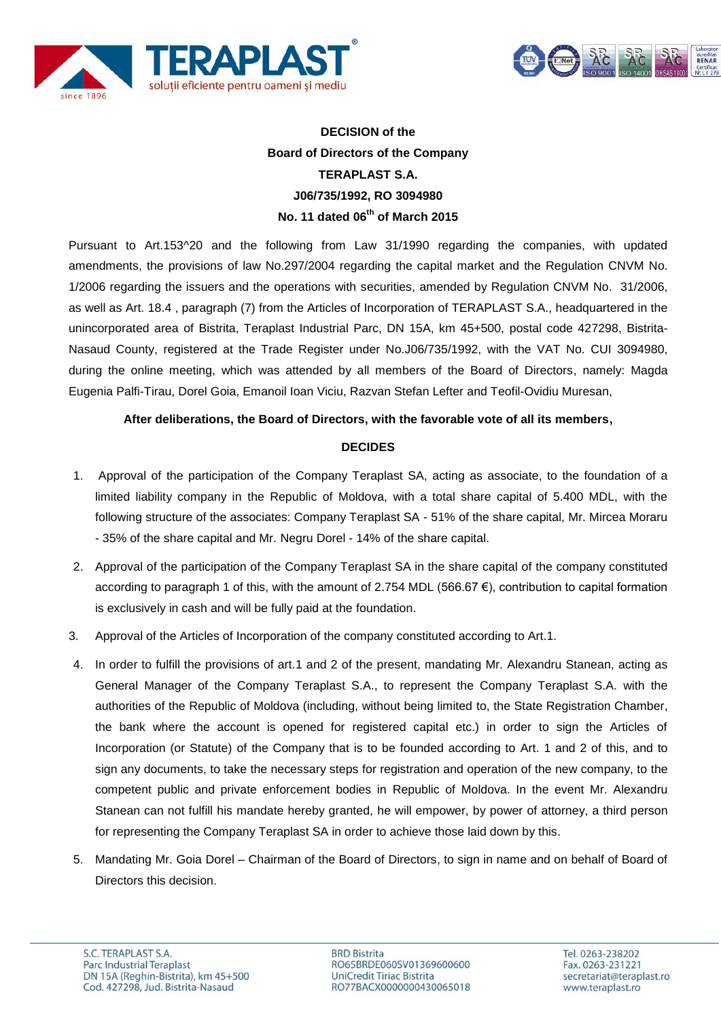



# **DECISION of the Board of Directors of the Company TERAPLAST S.A. J06/735/1992, RO 3094980 No. 11 dated 06th of March 2015**

Pursuant to Art.153^20 and the following from Law 31/1990 regarding the companies, with updated amendments, the provisions of law No.297/2004 regarding the capital market and the Regulation CNVM No. 1/2006 regarding the issuers and the operations with securities, amended by Regulation CNVM No. 31/2006, as well as Art. 18.4 , paragraph (7) from the Articles of Incorporation of TERAPLAST S.A., headquartered in the unincorporated area of Bistrita, Teraplast Industrial Parc, DN 15A, km 45+500, postal code 427298, Bistrita-Nasaud County, registered at the Trade Register under No.J06/735/1992, with the VAT No. CUI 3094980, during the online meeting, which was attended by all members of the Board of Directors, namely: Magda Eugenia Palfi-Tirau, Dorel Goia, Emanoil Ioan Viciu, Razvan Stefan Lefter and Teofil-Ovidiu Muresan,

#### **After deliberations, the Board of Directors, with the favorable vote of all its members,**

### **DECIDES**

- 1. Approval of the participation of the Company Teraplast SA, acting as associate, to the foundation of a limited liability company in the Republic of Moldova, with a total share capital of 5.400 MDL, with the following structure of the associates: Company Teraplast SA - 51% of the share capital, Mr. Mircea Moraru - 35% of the share capital and Mr. Negru Dorel - 14% of the share capital.
- 2. Approval of the participation of the Company Teraplast SA in the share capital of the company constituted according to paragraph 1 of this, with the amount of 2.754 MDL (566.67 €), contribution to capital formation is exclusively in cash and will be fully paid at the foundation.
- 3. Approval of the Articles of Incorporation of the company constituted according to Art.1.
- 4. In order to fulfill the provisions of art.1 and 2 of the present, mandating Mr. Alexandru Stanean, acting as General Manager of the Company Teraplast S.A., to represent the Company Teraplast S.A. with the authorities of the Republic of Moldova (including, without being limited to, the State Registration Chamber, the bank where the account is opened for registered capital etc.) in order to sign the Articles of Incorporation (or Statute) of the Company that is to be founded according to Art. 1 and 2 of this, and to sign any documents, to take the necessary steps for registration and operation of the new company, to the competent public and private enforcement bodies in Republic of Moldova. In the event Mr. Alexandru Stanean can not fulfill his mandate hereby granted, he will empower, by power of attorney, a third person for representing the Company Teraplast SA in order to achieve those laid down by this.
- 5. Mandating Mr. Goia Dorel Chairman of the Board of Directors, to sign in name and on behalf of Board of Directors this decision.